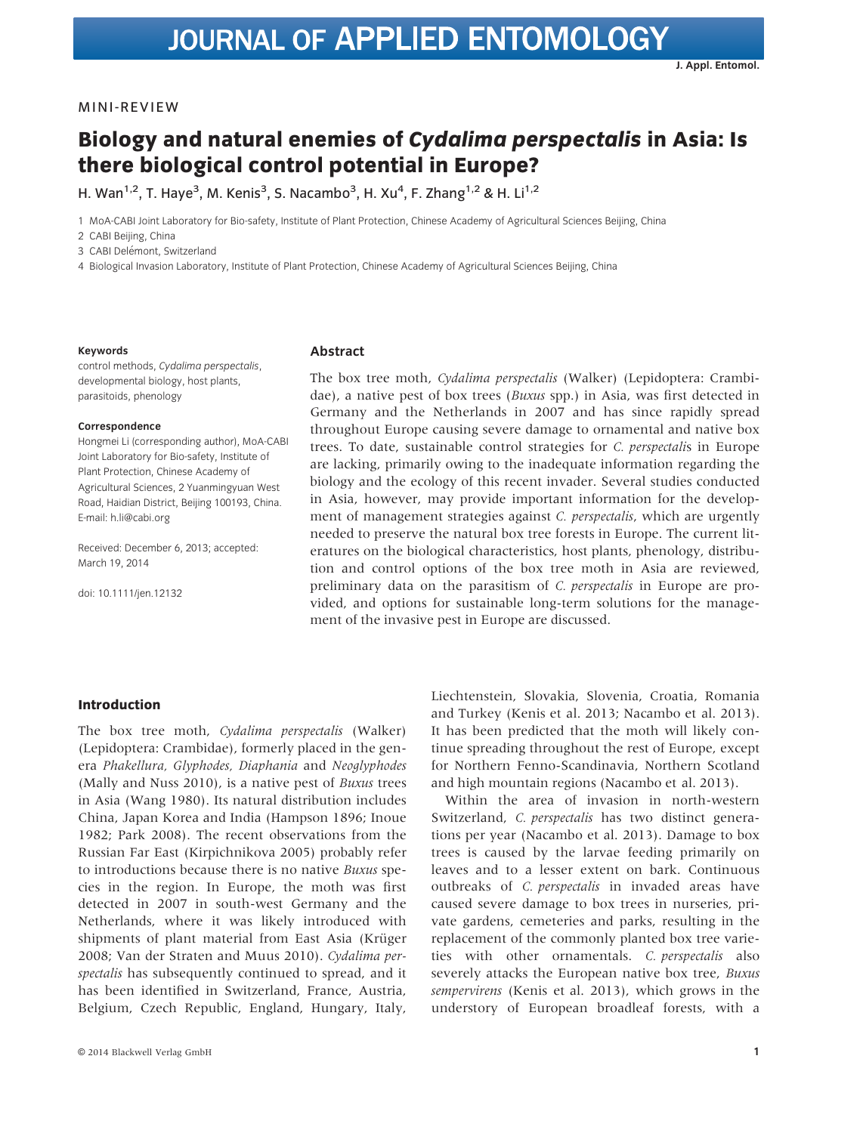# Biology and natural enemies of Cydalima perspectalis in Asia: Is there biological control potential in Europe?

H. Wan<sup>1,2</sup>, T. Haye<sup>3</sup>, M. Kenis<sup>3</sup>, S. Nacambo<sup>3</sup>, H. Xu<sup>4</sup>, F. Zhang<sup>1,2</sup> & H. Li<sup>1,2</sup>

1 MoA-CABI Joint Laboratory for Bio-safety, Institute of Plant Protection, Chinese Academy of Agricultural Sciences Beijing, China

2 CABI Beijing, China

3 CABI Delémont, Switzerland

4 Biological Invasion Laboratory, Institute of Plant Protection, Chinese Academy of Agricultural Sciences Beijing, China

#### Keywords

control methods, Cydalima perspectalis, developmental biology, host plants, parasitoids, phenology

### Correspondence

Hongmei Li (corresponding author), MoA-CABI Joint Laboratory for Bio-safety, Institute of Plant Protection, Chinese Academy of Agricultural Sciences, 2 Yuanmingyuan West Road, Haidian District, Beijing 100193, China. E-mail: h.li@cabi.org

Received: December 6, 2013; accepted: March 19, 2014

doi: 10.1111/jen.12132

# Abstract

The box tree moth, Cydalima perspectalis (Walker) (Lepidoptera: Crambidae), a native pest of box trees (Buxus spp.) in Asia, was first detected in Germany and the Netherlands in 2007 and has since rapidly spread throughout Europe causing severe damage to ornamental and native box trees. To date, sustainable control strategies for C. perspectalis in Europe are lacking, primarily owing to the inadequate information regarding the biology and the ecology of this recent invader. Several studies conducted in Asia, however, may provide important information for the development of management strategies against C. *perspectalis*, which are urgently needed to preserve the natural box tree forests in Europe. The current literatures on the biological characteristics, host plants, phenology, distribution and control options of the box tree moth in Asia are reviewed, preliminary data on the parasitism of C. *perspectalis* in Europe are provided, and options for sustainable long-term solutions for the management of the invasive pest in Europe are discussed.

## Introduction

The box tree moth, Cydalima perspectalis (Walker) (Lepidoptera: Crambidae), formerly placed in the genera Phakellura, Glyphodes, Diaphania and Neoglyphodes (Mally and Nuss 2010), is a native pest of Buxus trees in Asia (Wang 1980). Its natural distribution includes China, Japan Korea and India (Hampson 1896; Inoue 1982; Park 2008). The recent observations from the Russian Far East (Kirpichnikova 2005) probably refer to introductions because there is no native Buxus species in the region. In Europe, the moth was first detected in 2007 in south-west Germany and the Netherlands, where it was likely introduced with shipments of plant material from East Asia (Krüger 2008; Van der Straten and Muus 2010). Cydalima perspectalis has subsequently continued to spread, and it has been identified in Switzerland, France, Austria, Belgium, Czech Republic, England, Hungary, Italy,

Liechtenstein, Slovakia, Slovenia, Croatia, Romania and Turkey (Kenis et al. 2013; Nacambo et al. 2013). It has been predicted that the moth will likely continue spreading throughout the rest of Europe, except for Northern Fenno-Scandinavia, Northern Scotland and high mountain regions (Nacambo et al. 2013).

Within the area of invasion in north-western Switzerland, C. perspectalis has two distinct generations per year (Nacambo et al. 2013). Damage to box trees is caused by the larvae feeding primarily on leaves and to a lesser extent on bark. Continuous outbreaks of C. perspectalis in invaded areas have caused severe damage to box trees in nurseries, private gardens, cemeteries and parks, resulting in the replacement of the commonly planted box tree varieties with other ornamentals. C. perspectalis also severely attacks the European native box tree, Buxus sempervirens (Kenis et al. 2013), which grows in the understory of European broadleaf forests, with a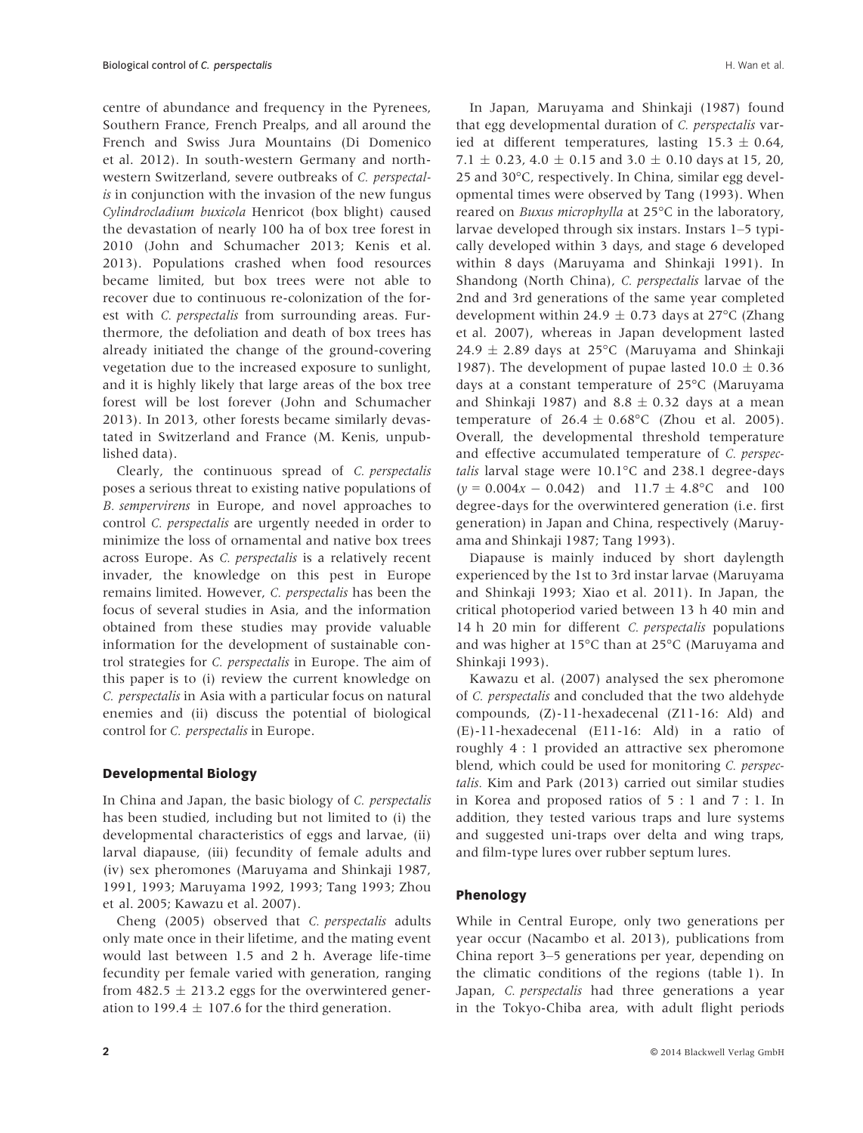centre of abundance and frequency in the Pyrenees, Southern France, French Prealps, and all around the French and Swiss Jura Mountains (Di Domenico et al. 2012). In south-western Germany and northwestern Switzerland, severe outbreaks of C. perspectalis in conjunction with the invasion of the new fungus Cylindrocladium buxicola Henricot (box blight) caused the devastation of nearly 100 ha of box tree forest in 2010 (John and Schumacher 2013; Kenis et al. 2013). Populations crashed when food resources became limited, but box trees were not able to recover due to continuous re-colonization of the forest with C. perspectalis from surrounding areas. Furthermore, the defoliation and death of box trees has already initiated the change of the ground-covering vegetation due to the increased exposure to sunlight, and it is highly likely that large areas of the box tree forest will be lost forever (John and Schumacher 2013). In 2013, other forests became similarly devastated in Switzerland and France (M. Kenis, unpublished data).

Clearly, the continuous spread of C. perspectalis poses a serious threat to existing native populations of B. sempervirens in Europe, and novel approaches to control C. perspectalis are urgently needed in order to minimize the loss of ornamental and native box trees across Europe. As C. perspectalis is a relatively recent invader, the knowledge on this pest in Europe remains limited. However, C. perspectalis has been the focus of several studies in Asia, and the information obtained from these studies may provide valuable information for the development of sustainable control strategies for C. perspectalis in Europe. The aim of this paper is to (i) review the current knowledge on C. perspectalis in Asia with a particular focus on natural enemies and (ii) discuss the potential of biological control for C. perspectalis in Europe.

# Developmental Biology

In China and Japan, the basic biology of C. perspectalis has been studied, including but not limited to (i) the developmental characteristics of eggs and larvae, (ii) larval diapause, (iii) fecundity of female adults and (iv) sex pheromones (Maruyama and Shinkaji 1987, 1991, 1993; Maruyama 1992, 1993; Tang 1993; Zhou et al. 2005; Kawazu et al. 2007).

Cheng (2005) observed that C. perspectalis adults only mate once in their lifetime, and the mating event would last between 1.5 and 2 h. Average life-time fecundity per female varied with generation, ranging from 482.5  $\pm$  213.2 eggs for the overwintered generation to 199.4  $\pm$  107.6 for the third generation.

In Japan, Maruyama and Shinkaji (1987) found that egg developmental duration of C. perspectalis varied at different temperatures, lasting  $15.3 \pm 0.64$ , 7.1  $\pm$  0.23, 4.0  $\pm$  0.15 and 3.0  $\pm$  0.10 days at 15, 20, 25 and 30°C, respectively. In China, similar egg developmental times were observed by Tang (1993). When reared on Buxus microphylla at 25°C in the laboratory, larvae developed through six instars. Instars 1–5 typically developed within 3 days, and stage 6 developed within 8 days (Maruyama and Shinkaji 1991). In Shandong (North China), C. perspectalis larvae of the 2nd and 3rd generations of the same year completed development within 24.9  $\pm$  0.73 days at 27°C (Zhang et al. 2007), whereas in Japan development lasted  $24.9 \pm 2.89$  days at 25°C (Maruyama and Shinkaji 1987). The development of pupae lasted  $10.0 \pm 0.36$ days at a constant temperature of 25°C (Maruyama and Shinkaji 1987) and  $8.8 \pm 0.32$  days at a mean temperature of  $26.4 \pm 0.68$ °C (Zhou et al. 2005). Overall, the developmental threshold temperature and effective accumulated temperature of C. perspectalis larval stage were 10.1°C and 238.1 degree-days  $(y = 0.004x - 0.042)$  and  $11.7 \pm 4.8$ °C and 100 degree-days for the overwintered generation (i.e. first generation) in Japan and China, respectively (Maruyama and Shinkaji 1987; Tang 1993).

Diapause is mainly induced by short daylength experienced by the 1st to 3rd instar larvae (Maruyama and Shinkaji 1993; Xiao et al. 2011). In Japan, the critical photoperiod varied between 13 h 40 min and 14 h 20 min for different *C. perspectalis* populations and was higher at 15°C than at 25°C (Maruyama and Shinkaji 1993).

Kawazu et al. (2007) analysed the sex pheromone of C. perspectalis and concluded that the two aldehyde compounds, (Z)-11-hexadecenal (Z11-16: Ald) and (E)-11-hexadecenal (E11-16: Ald) in a ratio of roughly 4 : 1 provided an attractive sex pheromone blend, which could be used for monitoring C. perspectalis. Kim and Park (2013) carried out similar studies in Korea and proposed ratios of 5 : 1 and 7 : 1. In addition, they tested various traps and lure systems and suggested uni-traps over delta and wing traps, and film-type lures over rubber septum lures.

# Phenology

While in Central Europe, only two generations per year occur (Nacambo et al. 2013), publications from China report 3–5 generations per year, depending on the climatic conditions of the regions (table 1). In Japan, C. perspectalis had three generations a year in the Tokyo-Chiba area, with adult flight periods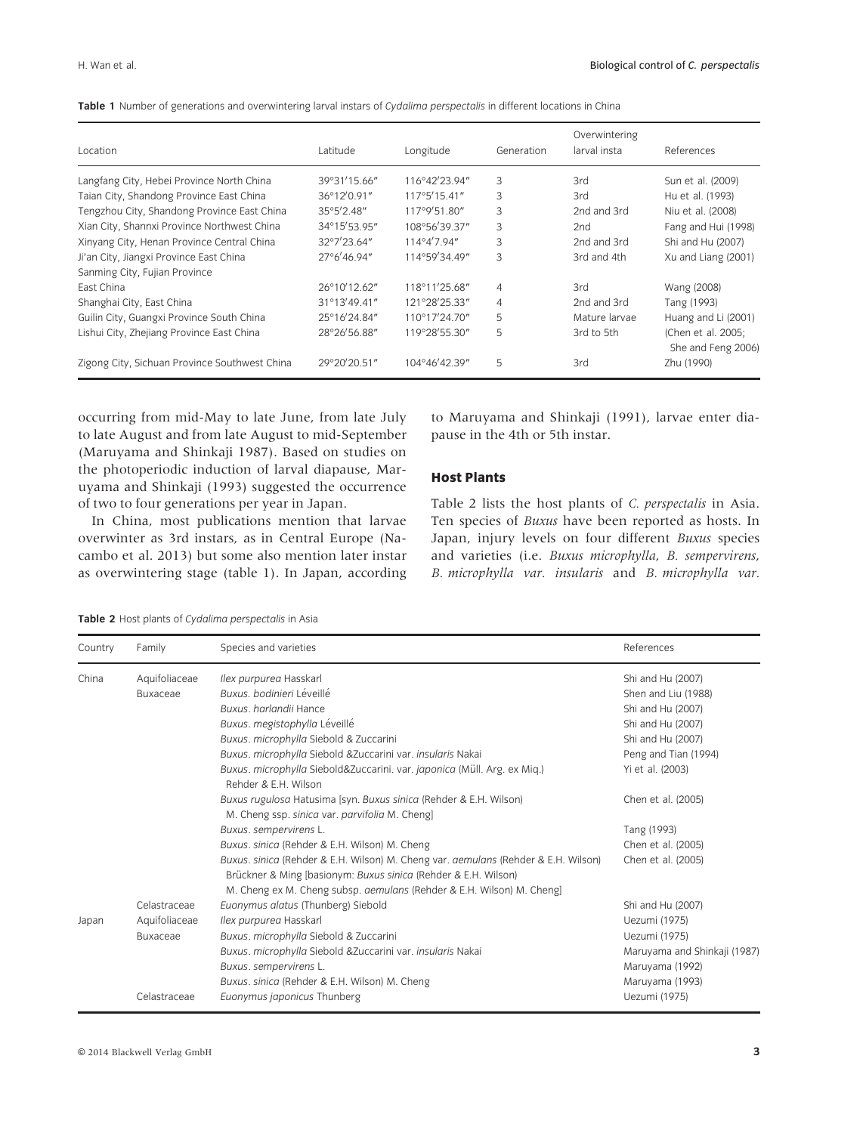|  |  | Table 1 Number of generations and overwintering larval instars of Cydalima perspectalis in different locations in China |  |  |  |  |  |  |  |
|--|--|-------------------------------------------------------------------------------------------------------------------------|--|--|--|--|--|--|--|
|--|--|-------------------------------------------------------------------------------------------------------------------------|--|--|--|--|--|--|--|

| Location                                      | Latitude     | Longitude               | Generation     | Overwintering<br>larval insta | References                               |
|-----------------------------------------------|--------------|-------------------------|----------------|-------------------------------|------------------------------------------|
| Langfang City, Hebei Province North China     | 39°31'15.66" | 116°42'23.94"           | 3              | 3rd                           | Sun et al. (2009)                        |
| Taian City, Shandong Province East China      | 36°12'0.91"  | 117°5'15.41"            | 3              | 3rd                           | Hu et al. (1993)                         |
| Tengzhou City, Shandong Province East China   | 35°5'2.48"   | 117°9'51.80"            | 3              | 2nd and 3rd                   | Niu et al. (2008)                        |
| Xian City, Shannxi Province Northwest China   | 34°15'53.95" | 108°56'39.37"           | 3              | 2nd                           | Fang and Hui (1998)                      |
| Xinyang City, Henan Province Central China    | 32°7'23.64"  | 114°4'7.94"             | 3              | 2nd and 3rd                   | Shi and Hu (2007)                        |
| Ji'an City, Jiangxi Province East China       | 27°6'46.94"  | 114°59'34.49"           | 3              | 3rd and 4th                   | Xu and Liang (2001)                      |
| Sanming City, Fujian Province                 |              |                         |                |                               |                                          |
| East China                                    | 26°10'12.62" | 118°11'25.68"           | $\overline{4}$ | 3rd                           | Wang (2008)                              |
| Shanghai City, East China                     | 31°13'49.41" | 121°28'25.33"           | $\overline{4}$ | 2nd and 3rd                   | Tang (1993)                              |
| Guilin City, Guangxi Province South China     | 25°16'24.84" | 110°17'24.70"           | 5              | Mature larvae                 | Huang and Li (2001)                      |
| Lishui City, Zhejiang Province East China     | 28°26'56.88" | 119°28'55.30"           | 5              | 3rd to 5th                    | (Chen et al. 2005;<br>She and Feng 2006) |
| Zigong City, Sichuan Province Southwest China | 29°20'20.51" | $104^{\circ}46'42.39''$ | 5              | 3rd                           | Zhu (1990)                               |

occurring from mid-May to late June, from late July to late August and from late August to mid-September (Maruyama and Shinkaji 1987). Based on studies on the photoperiodic induction of larval diapause, Maruyama and Shinkaji (1993) suggested the occurrence of two to four generations per year in Japan.

In China, most publications mention that larvae overwinter as 3rd instars, as in Central Europe (Nacambo et al. 2013) but some also mention later instar as overwintering stage (table 1). In Japan, according to Maruyama and Shinkaji (1991), larvae enter diapause in the 4th or 5th instar.

# Host Plants

Table 2 lists the host plants of C. perspectalis in Asia. Ten species of Buxus have been reported as hosts. In Japan, injury levels on four different Buxus species and varieties (i.e. Buxus microphylla, B. sempervirens, B. microphylla var. insularis and B. microphylla var.

Table 2 Host plants of Cydalima perspectalis in Asia

| Country | Family          | Species and varieties                                                                                                                                                                                                               | References                   |
|---------|-----------------|-------------------------------------------------------------------------------------------------------------------------------------------------------------------------------------------------------------------------------------|------------------------------|
| China   | Aquifoliaceae   | Ilex purpurea Hasskarl                                                                                                                                                                                                              | Shi and Hu (2007)            |
|         | <b>Buxaceae</b> | Buxus, bodinieri Léveillé                                                                                                                                                                                                           | Shen and Liu (1988)          |
|         |                 | Buxus, harlandii Hance                                                                                                                                                                                                              | Shi and Hu (2007)            |
|         |                 | Buxus. megistophylla Léveillé                                                                                                                                                                                                       | Shi and Hu (2007)            |
|         |                 | Buxus. microphylla Siebold & Zuccarini                                                                                                                                                                                              | Shi and Hu (2007)            |
|         |                 | Buxus. microphylla Siebold & Zuccarini var. insularis Nakai                                                                                                                                                                         | Peng and Tian (1994)         |
|         |                 | Buxus. microphylla Siebold&Zuccarini. var. japonica (Müll. Arg. ex Miq.)<br>Rehder & E.H. Wilson                                                                                                                                    | Yi et al. (2003)             |
|         |                 | Buxus rugulosa Hatusima [syn. Buxus sinica (Rehder & E.H. Wilson)<br>M. Cheng ssp. sinica var. parvifolia M. Cheng]                                                                                                                 | Chen et al. (2005)           |
|         |                 | Buxus. sempervirens L.                                                                                                                                                                                                              | Tang (1993)                  |
|         |                 | Buxus. sinica (Rehder & E.H. Wilson) M. Cheng                                                                                                                                                                                       | Chen et al. (2005)           |
|         |                 | Buxus. sinica (Rehder & E.H. Wilson) M. Cheng var. aemulans (Rehder & E.H. Wilson)<br>Brückner & Ming [basionym: Buxus sinica (Rehder & E.H. Wilson)<br>M. Cheng ex M. Cheng subsp. <i>aemulans</i> (Rehder & E.H. Wilson) M. Cheng | Chen et al. (2005)           |
|         | Celastraceae    | Euonymus alatus (Thunberg) Siebold                                                                                                                                                                                                  | Shi and Hu (2007)            |
| Japan   | Aquifoliaceae   | Ilex purpurea Hasskarl                                                                                                                                                                                                              | Uezumi (1975)                |
|         | <b>Buxaceae</b> | Buxus. microphylla Siebold & Zuccarini                                                                                                                                                                                              | Uezumi (1975)                |
|         |                 | Buxus. microphylla Siebold & Zuccarini var. insularis Nakai                                                                                                                                                                         | Maruyama and Shinkaji (1987) |
|         |                 | Buxus. sempervirens L.                                                                                                                                                                                                              | Maruyama (1992)              |
|         |                 | Buxus. sinica (Rehder & E.H. Wilson) M. Cheng                                                                                                                                                                                       | Maruyama (1993)              |
|         | Celastraceae    | Euonymus japonicus Thunberg                                                                                                                                                                                                         | Uezumi (1975)                |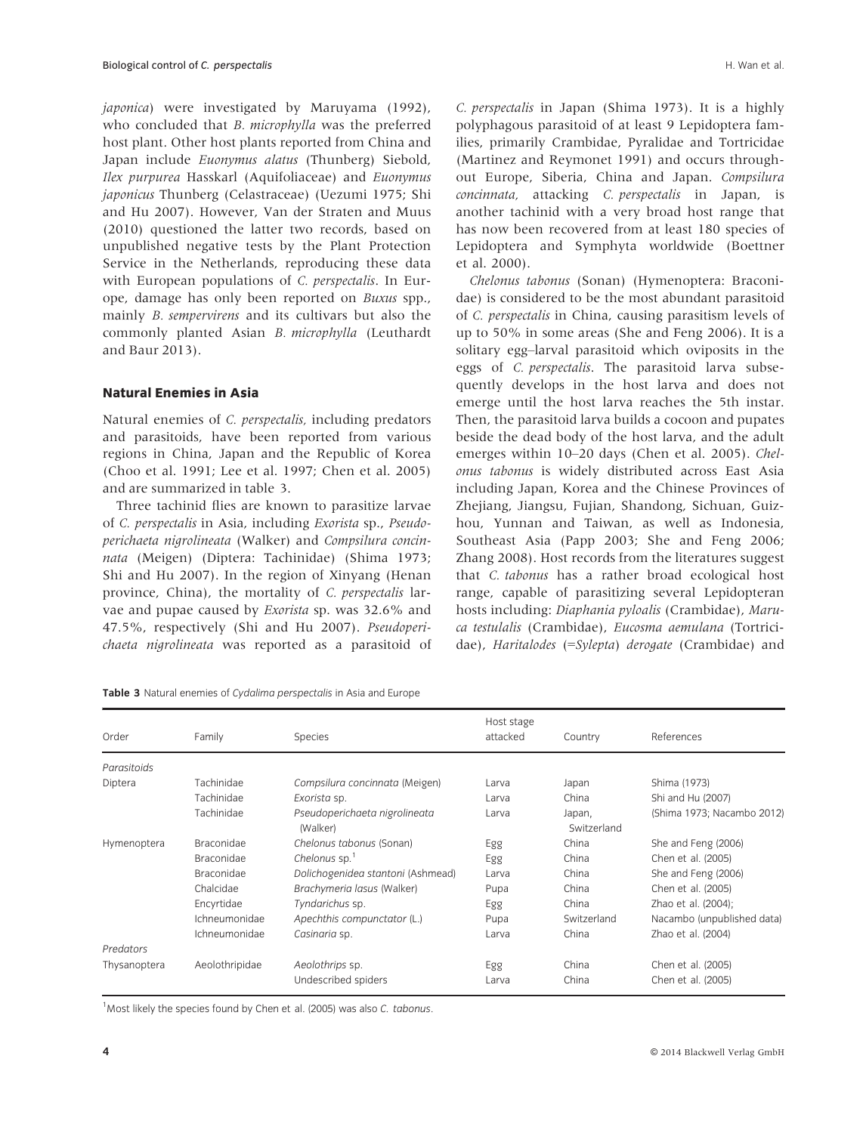japonica) were investigated by Maruyama (1992), who concluded that B. microphylla was the preferred host plant. Other host plants reported from China and Japan include Euonymus alatus (Thunberg) Siebold, Ilex purpurea Hasskarl (Aquifoliaceae) and Euonymus japonicus Thunberg (Celastraceae) (Uezumi 1975; Shi and Hu 2007). However, Van der Straten and Muus (2010) questioned the latter two records, based on unpublished negative tests by the Plant Protection Service in the Netherlands, reproducing these data with European populations of C. perspectalis. In Europe, damage has only been reported on Buxus spp., mainly B. sempervirens and its cultivars but also the commonly planted Asian B. microphylla (Leuthardt and Baur 2013).

# Natural Enemies in Asia

Natural enemies of C. perspectalis, including predators and parasitoids, have been reported from various regions in China, Japan and the Republic of Korea (Choo et al. 1991; Lee et al. 1997; Chen et al. 2005) and are summarized in table 3.

Three tachinid flies are known to parasitize larvae of C. perspectalis in Asia, including Exorista sp., Pseudoperichaeta nigrolineata (Walker) and Compsilura concinnata (Meigen) (Diptera: Tachinidae) (Shima 1973; Shi and Hu 2007). In the region of Xinyang (Henan province, China), the mortality of C. perspectalis larvae and pupae caused by Exorista sp. was 32.6% and 47.5%, respectively (Shi and Hu 2007). Pseudoperichaeta nigrolineata was reported as a parasitoid of C. perspectalis in Japan (Shima 1973). It is a highly polyphagous parasitoid of at least 9 Lepidoptera families, primarily Crambidae, Pyralidae and Tortricidae (Martinez and Reymonet 1991) and occurs throughout Europe, Siberia, China and Japan. Compsilura concinnata, attacking C. perspectalis in Japan, is another tachinid with a very broad host range that has now been recovered from at least 180 species of Lepidoptera and Symphyta worldwide (Boettner et al. 2000).

Chelonus tabonus (Sonan) (Hymenoptera: Braconidae) is considered to be the most abundant parasitoid of C. perspectalis in China, causing parasitism levels of up to 50% in some areas (She and Feng 2006). It is a solitary egg–larval parasitoid which oviposits in the eggs of C. perspectalis. The parasitoid larva subsequently develops in the host larva and does not emerge until the host larva reaches the 5th instar. Then, the parasitoid larva builds a cocoon and pupates beside the dead body of the host larva, and the adult emerges within 10–20 days (Chen et al. 2005). Chelonus tabonus is widely distributed across East Asia including Japan, Korea and the Chinese Provinces of Zhejiang, Jiangsu, Fujian, Shandong, Sichuan, Guizhou, Yunnan and Taiwan, as well as Indonesia, Southeast Asia (Papp 2003; She and Feng 2006; Zhang 2008). Host records from the literatures suggest that C. tabonus has a rather broad ecological host range, capable of parasitizing several Lepidopteran hosts including: Diaphania pyloalis (Crambidae), Maruca testulalis (Crambidae), Eucosma aemulana (Tortricidae), Haritalodes (=Sylepta) derogate (Crambidae) and

| Order        | Family            | <b>Species</b>                            | Host stage<br>attacked | Country               | References                 |
|--------------|-------------------|-------------------------------------------|------------------------|-----------------------|----------------------------|
| Parasitoids  |                   |                                           |                        |                       |                            |
| Diptera      | Tachinidae        | Compsilura concinnata (Meigen)            | Larva                  | Japan                 | Shima (1973)               |
|              | Tachinidae        | Exorista sp.                              | Larva                  | China                 | Shi and Hu (2007)          |
|              | Tachinidae        | Pseudoperichaeta nigrolineata<br>(Walker) | Larva                  | Japan,<br>Switzerland | (Shima 1973; Nacambo 2012) |
| Hymenoptera  | <b>Braconidae</b> | Chelonus tabonus (Sonan)                  | Egg                    | China                 | She and Feng (2006)        |
|              | <b>Braconidae</b> | Chelonus sp. $1$                          | Egg                    | China                 | Chen et al. (2005)         |
|              | Braconidae        | Dolichogenidea stantoni (Ashmead)         | Larva                  | China                 | She and Feng (2006)        |
|              | Chalcidae         | Brachymeria lasus (Walker)                | Pupa                   | China                 | Chen et al. (2005)         |
|              | Encyrtidae        | Tyndarichus sp.                           | Egg                    | China                 | Zhao et al. (2004);        |
|              | Ichneumonidae     | Apechthis compunctator (L.)               | Pupa                   | Switzerland           | Nacambo (unpublished data) |
|              | Ichneumonidae     | Casinaria sp.                             | Larva                  | China                 | Zhao et al. (2004)         |
| Predators    |                   |                                           |                        |                       |                            |
| Thysanoptera | Aeolothripidae    | Aeolothrips sp.                           | Egg                    | China                 | Chen et al. (2005)         |
|              |                   | Undescribed spiders                       | Larva                  | China                 | Chen et al. (2005)         |

<sup>1</sup> Most likely the species found by Chen et al. (2005) was also C. tabonus.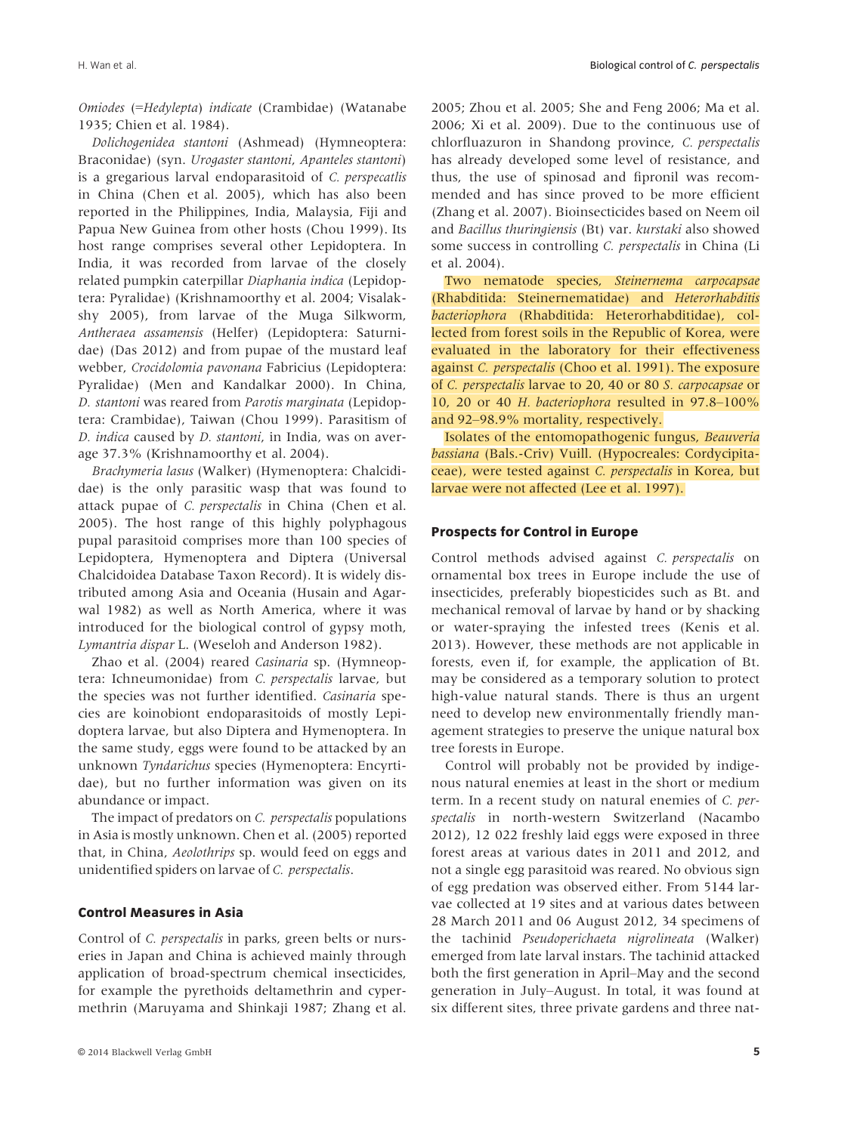Omiodes (=Hedylepta) indicate (Crambidae) (Watanabe 1935; Chien et al. 1984).

Dolichogenidea stantoni (Ashmead) (Hymneoptera: Braconidae) (syn. Urogaster stantoni, Apanteles stantoni) is a gregarious larval endoparasitoid of C. perspecatlis in China (Chen et al. 2005), which has also been reported in the Philippines, India, Malaysia, Fiji and Papua New Guinea from other hosts (Chou 1999). Its host range comprises several other Lepidoptera. In India, it was recorded from larvae of the closely related pumpkin caterpillar Diaphania indica (Lepidoptera: Pyralidae) (Krishnamoorthy et al. 2004; Visalakshy 2005), from larvae of the Muga Silkworm, Antheraea assamensis (Helfer) (Lepidoptera: Saturnidae) (Das 2012) and from pupae of the mustard leaf webber, Crocidolomia pavonana Fabricius (Lepidoptera: Pyralidae) (Men and Kandalkar 2000). In China, D. stantoni was reared from Parotis marginata (Lepidoptera: Crambidae), Taiwan (Chou 1999). Parasitism of D. indica caused by D. stantoni, in India, was on average 37.3% (Krishnamoorthy et al. 2004).

Brachymeria lasus (Walker) (Hymenoptera: Chalcididae) is the only parasitic wasp that was found to attack pupae of C. perspectalis in China (Chen et al. 2005). The host range of this highly polyphagous pupal parasitoid comprises more than 100 species of Lepidoptera, Hymenoptera and Diptera (Universal Chalcidoidea Database Taxon Record). It is widely distributed among Asia and Oceania (Husain and Agarwal 1982) as well as North America, where it was introduced for the biological control of gypsy moth, Lymantria dispar L. (Weseloh and Anderson 1982).

Zhao et al. (2004) reared Casinaria sp. (Hymneoptera: Ichneumonidae) from C. perspectalis larvae, but the species was not further identified. Casinaria species are koinobiont endoparasitoids of mostly Lepidoptera larvae, but also Diptera and Hymenoptera. In the same study, eggs were found to be attacked by an unknown Tyndarichus species (Hymenoptera: Encyrtidae), but no further information was given on its abundance or impact.

The impact of predators on *C. perspectalis* populations in Asia is mostly unknown. Chen et al. (2005) reported that, in China, Aeolothrips sp. would feed on eggs and unidentified spiders on larvae of C. perspectalis.

## Control Measures in Asia

Control of C. perspectalis in parks, green belts or nurseries in Japan and China is achieved mainly through application of broad-spectrum chemical insecticides, for example the pyrethoids deltamethrin and cypermethrin (Maruyama and Shinkaji 1987; Zhang et al.

2005; Zhou et al. 2005; She and Feng 2006; Ma et al. 2006; Xi et al. 2009). Due to the continuous use of chlorfluazuron in Shandong province, C. perspectalis has already developed some level of resistance, and thus, the use of spinosad and fipronil was recommended and has since proved to be more efficient (Zhang et al. 2007). Bioinsecticides based on Neem oil and Bacillus thuringiensis (Bt) var. kurstaki also showed some success in controlling C. perspectalis in China (Li et al. 2004).

Two nematode species, Steinernema carpocapsae (Rhabditida: Steinernematidae) and Heterorhabditis bacteriophora (Rhabditida: Heterorhabditidae), collected from forest soils in the Republic of Korea, were evaluated in the laboratory for their effectiveness against C. perspectalis (Choo et al. 1991). The exposure of C. perspectalis larvae to 20, 40 or 80 S. carpocapsae or 10, 20 or 40 H. bacteriophora resulted in 97.8–100% and 92–98.9% mortality, respectively.

Isolates of the entomopathogenic fungus, Beauveria bassiana (Bals.-Criv) Vuill. (Hypocreales: Cordycipitaceae), were tested against C. perspectalis in Korea, but larvae were not affected (Lee et al. 1997).

# Prospects for Control in Europe

Control methods advised against C. perspectalis on ornamental box trees in Europe include the use of insecticides, preferably biopesticides such as Bt. and mechanical removal of larvae by hand or by shacking or water-spraying the infested trees (Kenis et al. 2013). However, these methods are not applicable in forests, even if, for example, the application of Bt. may be considered as a temporary solution to protect high-value natural stands. There is thus an urgent need to develop new environmentally friendly management strategies to preserve the unique natural box tree forests in Europe.

Control will probably not be provided by indigenous natural enemies at least in the short or medium term. In a recent study on natural enemies of C. perspectalis in north-western Switzerland (Nacambo 2012), 12 022 freshly laid eggs were exposed in three forest areas at various dates in 2011 and 2012, and not a single egg parasitoid was reared. No obvious sign of egg predation was observed either. From 5144 larvae collected at 19 sites and at various dates between 28 March 2011 and 06 August 2012, 34 specimens of the tachinid Pseudoperichaeta nigrolineata (Walker) emerged from late larval instars. The tachinid attacked both the first generation in April–May and the second generation in July–August. In total, it was found at six different sites, three private gardens and three nat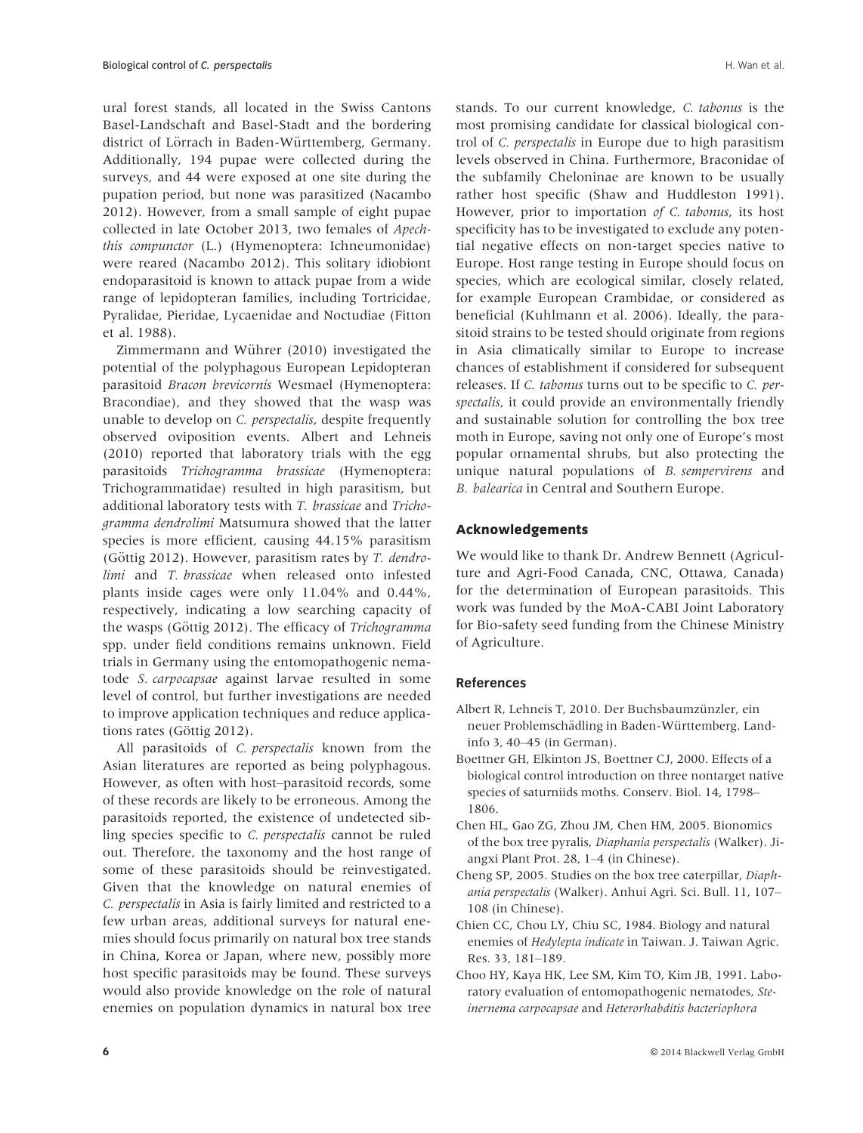ural forest stands, all located in the Swiss Cantons Basel-Landschaft and Basel-Stadt and the bordering district of Lörrach in Baden-Württemberg, Germany. Additionally, 194 pupae were collected during the surveys, and 44 were exposed at one site during the pupation period, but none was parasitized (Nacambo 2012). However, from a small sample of eight pupae collected in late October 2013, two females of Apechthis compunctor (L.) (Hymenoptera: Ichneumonidae) were reared (Nacambo 2012). This solitary idiobiont endoparasitoid is known to attack pupae from a wide range of lepidopteran families, including Tortricidae, Pyralidae, Pieridae, Lycaenidae and Noctudiae (Fitton et al. 1988).

Zimmermann and Wührer (2010) investigated the potential of the polyphagous European Lepidopteran parasitoid Bracon brevicornis Wesmael (Hymenoptera: Bracondiae), and they showed that the wasp was unable to develop on C. perspectalis, despite frequently observed oviposition events. Albert and Lehneis (2010) reported that laboratory trials with the egg parasitoids Trichogramma brassicae (Hymenoptera: Trichogrammatidae) resulted in high parasitism, but additional laboratory tests with T. brassicae and Trichogramma dendrolimi Matsumura showed that the latter species is more efficient, causing 44.15% parasitism (Göttig 2012). However, parasitism rates by  $T$ . dendrolimi and T. brassicae when released onto infested plants inside cages were only 11.04% and 0.44%, respectively, indicating a low searching capacity of the wasps (Göttig 2012). The efficacy of Trichogramma spp. under field conditions remains unknown. Field trials in Germany using the entomopathogenic nematode S. carpocapsae against larvae resulted in some level of control, but further investigations are needed to improve application techniques and reduce applications rates (Göttig 2012).

All parasitoids of *C. perspectalis* known from the Asian literatures are reported as being polyphagous. However, as often with host–parasitoid records, some of these records are likely to be erroneous. Among the parasitoids reported, the existence of undetected sibling species specific to C. perspectalis cannot be ruled out. Therefore, the taxonomy and the host range of some of these parasitoids should be reinvestigated. Given that the knowledge on natural enemies of C. perspectalis in Asia is fairly limited and restricted to a few urban areas, additional surveys for natural enemies should focus primarily on natural box tree stands in China, Korea or Japan, where new, possibly more host specific parasitoids may be found. These surveys would also provide knowledge on the role of natural enemies on population dynamics in natural box tree

stands. To our current knowledge, C. tabonus is the most promising candidate for classical biological control of C. perspectalis in Europe due to high parasitism levels observed in China. Furthermore, Braconidae of the subfamily Cheloninae are known to be usually rather host specific (Shaw and Huddleston 1991). However, prior to importation of C. tabonus, its host specificity has to be investigated to exclude any potential negative effects on non-target species native to Europe. Host range testing in Europe should focus on species, which are ecological similar, closely related, for example European Crambidae, or considered as beneficial (Kuhlmann et al. 2006). Ideally, the parasitoid strains to be tested should originate from regions in Asia climatically similar to Europe to increase chances of establishment if considered for subsequent releases. If C. tabonus turns out to be specific to C. perspectalis, it could provide an environmentally friendly and sustainable solution for controlling the box tree moth in Europe, saving not only one of Europe's most popular ornamental shrubs, but also protecting the unique natural populations of B. sempervirens and B. balearica in Central and Southern Europe.

# Acknowledgements

We would like to thank Dr. Andrew Bennett (Agriculture and Agri-Food Canada, CNC, Ottawa, Canada) for the determination of European parasitoids. This work was funded by the MoA-CABI Joint Laboratory for Bio-safety seed funding from the Chinese Ministry of Agriculture.

# References

- Albert R, Lehneis T, 2010. Der Buchsbaumzünzler, ein neuer Problemschädling in Baden-Württemberg. Landinfo 3, 40–45 (in German).
- Boettner GH, Elkinton JS, Boettner CJ, 2000. Effects of a biological control introduction on three nontarget native species of saturniids moths. Conserv. Biol. 14, 1798– 1806.
- Chen HL, Gao ZG, Zhou JM, Chen HM, 2005. Bionomics of the box tree pyralis, Diaphania perspectalis (Walker). Jiangxi Plant Prot. 28, 1–4 (in Chinese).
- Cheng SP, 2005. Studies on the box tree caterpillar, Diaphania perspectalis (Walker). Anhui Agri. Sci. Bull. 11, 107– 108 (in Chinese).
- Chien CC, Chou LY, Chiu SC, 1984. Biology and natural enemies of Hedylepta indicate in Taiwan. J. Taiwan Agric. Res. 33, 181–189.
- Choo HY, Kaya HK, Lee SM, Kim TO, Kim JB, 1991. Laboratory evaluation of entomopathogenic nematodes, Steinernema carpocapsae and Heterorhabditis bacteriophora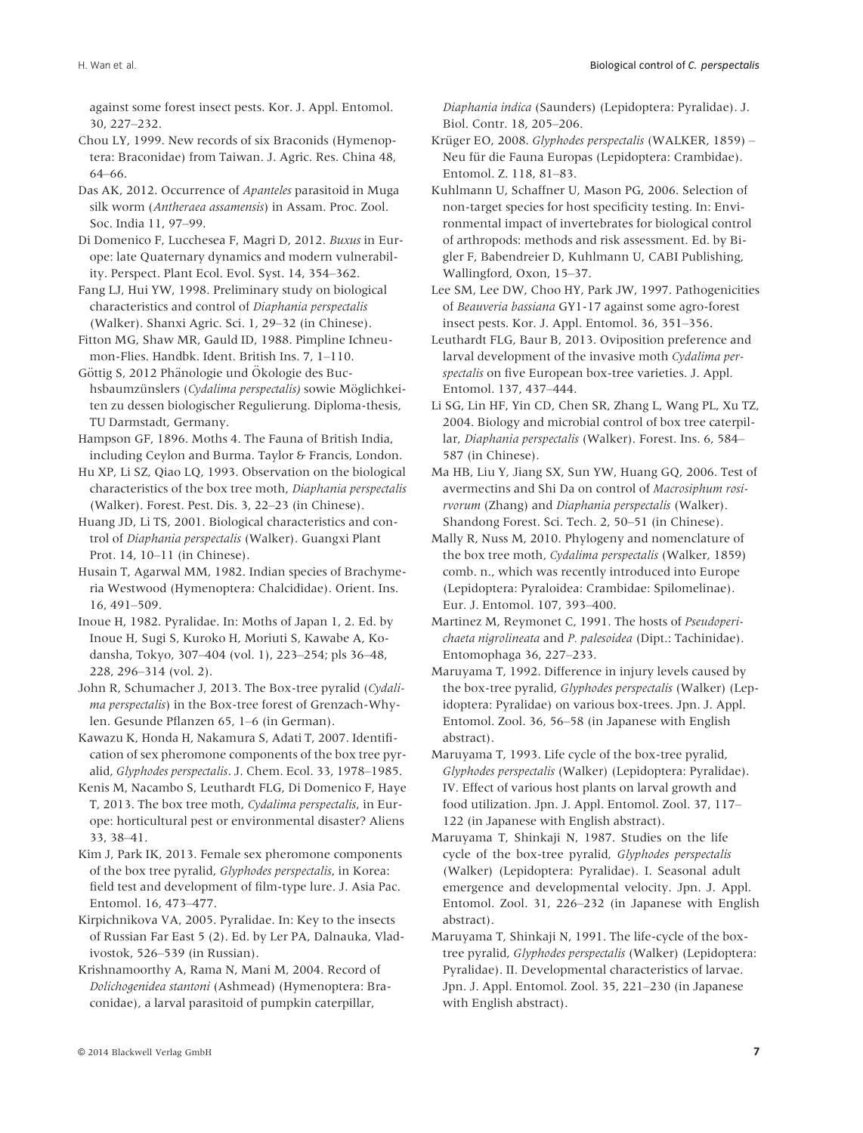against some forest insect pests. Kor. J. Appl. Entomol. 30, 227–232.

Chou LY, 1999. New records of six Braconids (Hymenoptera: Braconidae) from Taiwan. J. Agric. Res. China 48, 64–66.

Das AK, 2012. Occurrence of Apanteles parasitoid in Muga silk worm (Antheraea assamensis) in Assam. Proc. Zool. Soc. India 11, 97–99.

Di Domenico F, Lucchesea F, Magri D, 2012. Buxus in Europe: late Quaternary dynamics and modern vulnerability. Perspect. Plant Ecol. Evol. Syst. 14, 354–362.

Fang LJ, Hui YW, 1998. Preliminary study on biological characteristics and control of Diaphania perspectalis (Walker). Shanxi Agric. Sci. 1, 29–32 (in Chinese).

Fitton MG, Shaw MR, Gauld ID, 1988. Pimpline Ichneumon-Flies. Handbk. Ident. British Ins. 7, 1–110.

Göttig S, 2012 Phänologie und Ökologie des Buchsbaumzünslers (Cydalima perspectalis) sowie Möglichkeiten zu dessen biologischer Regulierung. Diploma-thesis, TU Darmstadt, Germany.

Hampson GF, 1896. Moths 4. The Fauna of British India, including Ceylon and Burma. Taylor & Francis, London.

Hu XP, Li SZ, Qiao LQ, 1993. Observation on the biological characteristics of the box tree moth, Diaphania perspectalis (Walker). Forest. Pest. Dis. 3, 22–23 (in Chinese).

Huang JD, Li TS, 2001. Biological characteristics and control of Diaphania perspectalis (Walker). Guangxi Plant Prot. 14, 10–11 (in Chinese).

Husain T, Agarwal MM, 1982. Indian species of Brachymeria Westwood (Hymenoptera: Chalcididae). Orient. Ins. 16, 491–509.

Inoue H, 1982. Pyralidae. In: Moths of Japan 1, 2. Ed. by Inoue H, Sugi S, Kuroko H, Moriuti S, Kawabe A, Kodansha, Tokyo, 307–404 (vol. 1), 223–254; pls 36–48, 228, 296–314 (vol. 2).

John R, Schumacher J, 2013. The Box-tree pyralid (Cydalima perspectalis) in the Box-tree forest of Grenzach-Whylen. Gesunde Pflanzen 65, 1–6 (in German).

Kawazu K, Honda H, Nakamura S, Adati T, 2007. Identification of sex pheromone components of the box tree pyralid, Glyphodes perspectalis. J. Chem. Ecol. 33, 1978–1985.

Kenis M, Nacambo S, Leuthardt FLG, Di Domenico F, Haye T, 2013. The box tree moth, Cydalima perspectalis, in Europe: horticultural pest or environmental disaster? Aliens 33, 38–41.

Kim J, Park IK, 2013. Female sex pheromone components of the box tree pyralid, Glyphodes perspectalis, in Korea: field test and development of film-type lure. J. Asia Pac. Entomol. 16, 473–477.

Kirpichnikova VA, 2005. Pyralidae. In: Key to the insects of Russian Far East 5 (2). Ed. by Ler PA, Dalnauka, Vladivostok, 526–539 (in Russian).

Krishnamoorthy A, Rama N, Mani M, 2004. Record of Dolichogenidea stantoni (Ashmead) (Hymenoptera: Braconidae), a larval parasitoid of pumpkin caterpillar,

Diaphania indica (Saunders) (Lepidoptera: Pyralidae). J. Biol. Contr. 18, 205–206.

Krüger EO, 2008. Glyphodes perspectalis (WALKER, 1859) – Neu für die Fauna Europas (Lepidoptera: Crambidae). Entomol. Z. 118, 81–83.

Kuhlmann U, Schaffner U, Mason PG, 2006. Selection of non-target species for host specificity testing. In: Environmental impact of invertebrates for biological control of arthropods: methods and risk assessment. Ed. by Bigler F, Babendreier D, Kuhlmann U, CABI Publishing, Wallingford, Oxon, 15–37.

Lee SM, Lee DW, Choo HY, Park JW, 1997. Pathogenicities of Beauveria bassiana GY1-17 against some agro-forest insect pests. Kor. J. Appl. Entomol. 36, 351–356.

Leuthardt FLG, Baur B, 2013. Oviposition preference and larval development of the invasive moth Cydalima perspectalis on five European box-tree varieties. J. Appl. Entomol. 137, 437–444.

Li SG, Lin HF, Yin CD, Chen SR, Zhang L, Wang PL, Xu TZ, 2004. Biology and microbial control of box tree caterpillar, Diaphania perspectalis (Walker). Forest. Ins. 6, 584– 587 (in Chinese).

Ma HB, Liu Y, Jiang SX, Sun YW, Huang GQ, 2006. Test of avermectins and Shi Da on control of Macrosiphum rosirvorum (Zhang) and Diaphania perspectalis (Walker). Shandong Forest. Sci. Tech. 2, 50–51 (in Chinese).

Mally R, Nuss M, 2010. Phylogeny and nomenclature of the box tree moth, Cydalima perspectalis (Walker, 1859) comb. n., which was recently introduced into Europe (Lepidoptera: Pyraloidea: Crambidae: Spilomelinae). Eur. J. Entomol. 107, 393–400.

Martinez M, Reymonet C, 1991. The hosts of Pseudoperichaeta nigrolineata and P. palesoidea (Dipt.: Tachinidae). Entomophaga 36, 227–233.

Maruyama T, 1992. Difference in injury levels caused by the box-tree pyralid, Glyphodes perspectalis (Walker) (Lepidoptera: Pyralidae) on various box-trees. Jpn. J. Appl. Entomol. Zool. 36, 56–58 (in Japanese with English abstract).

Maruyama T, 1993. Life cycle of the box-tree pyralid, Glyphodes perspectalis (Walker) (Lepidoptera: Pyralidae). IV. Effect of various host plants on larval growth and food utilization. Jpn. J. Appl. Entomol. Zool. 37, 117– 122 (in Japanese with English abstract).

Maruyama T, Shinkaji N, 1987. Studies on the life cycle of the box-tree pyralid, Glyphodes perspectalis (Walker) (Lepidoptera: Pyralidae). I. Seasonal adult emergence and developmental velocity. Jpn. J. Appl. Entomol. Zool. 31, 226–232 (in Japanese with English abstract).

Maruyama T, Shinkaji N, 1991. The life-cycle of the boxtree pyralid, Glyphodes perspectalis (Walker) (Lepidoptera: Pyralidae). II. Developmental characteristics of larvae. Jpn. J. Appl. Entomol. Zool. 35, 221–230 (in Japanese with English abstract).